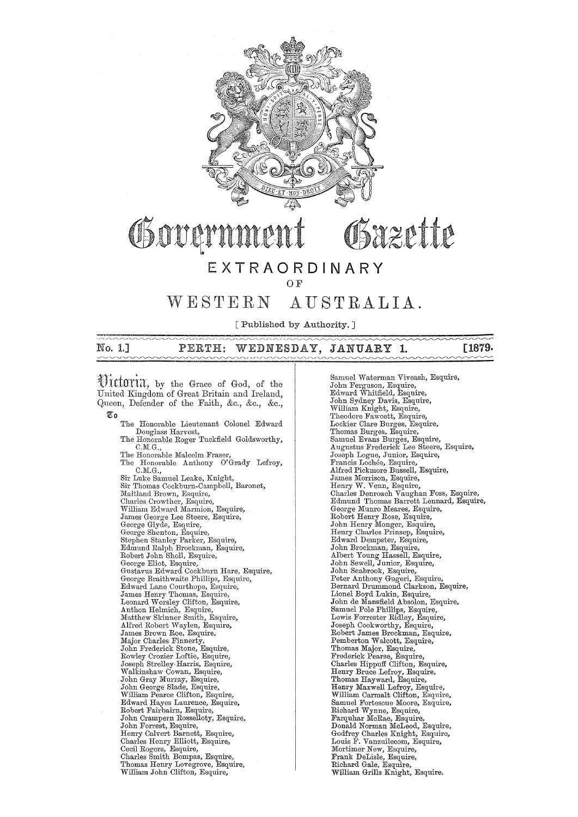

# Governme OSazette

### **EXTRAORDINARY**

O<sub>F</sub>

# WESTERN AUSTRALIA.

[Published by Authority.]

## No. 1.] PERTH: WEDNESDAY, JANUARY 1. **[1879.**

Uittoria, by the Grace of God, of the United Kingdom of Great Britain and Ireland, Queen, Defender of the Faith, &c., &c., &c.,  $\overline{\mathbb{C}}$  0

The Honorable Lieutenant Colonel Edward Douglass Harvest,<br>The Honorable Roger Tuckfield Goldsworthy, C.M.G.,<br>The Honorable Malcolm Fraser,<br>The Honorable Anthony O'Grady Lefroy, C.M.G.,<br>Sir Luke Samuel Leake, Knight,<br>Sir Thomas Cockburn-Campbell, Baronet, Maitland Brown, Esquire,<br>Charles Crowther, Esquire,<br>William Edward Marmion, Esquire, James George Lee Steere, Esquire,<br>George Glyde, Esquire,<br>George Shenton, Esquire,<br>Stephen Stanley Parker, Esquire, Edmund Ralph Brockman, Esquire,<br>Robert John Sholl, Esquire, George Eliot, Esquire,<br>Gustavus Edward Cockburn Hare, Esquire, George Braithwaite Phillips, Esquire,<br>Edward Lane Courthope, Esquire,<br>James Henry Thomas, Esquire,<br>Leonard Worsley Clifton, Esquire,<br>Anthon Helmich, Esquire, Matthew Skinner Smith, Esquire,<br>Alfred Robert Waylen, Esquire,<br>James Brown Roe, Esquire,<br>Major Charles Finnerty,<br>John Frederick Stone, Esquire,<br>Rowley Crozier Loftie, Esquire,<br>Joseph Strelley Harris, Esquire, 'Valkinshaw Cowan, Esquire, John Gray Mm'ray, Esquire, John George Slade, Esquire, William Pearce Clifton, Esquire, Edward Hayes Laurence, Esquire, Robert Fairbairn, Esquire, John Crampern Rosselloty, Esquire, John Forrest, Esquire, Henry Calvert Barnett, Esquire, Charles Henry Elliott, Esquire, Cecil Rogers, Esquire, Charles Smith Bompas, Esquire, Thomas Henry Lovegrove, Esquire,<br>William John Clifton, Esquire,

Samuel Waterman viveash, Esquire, John Ferguson, Esquire, Edward Whitfield, Esquire, John Sydney Davis, Esquire,<br>William Knight, Esquire,<br>Theodore Fawcett, Esquire,<br>Lockier Clare Burges, Esquire, Thomas Burges, Esquire,<br>Samuel Evans Burges, Esquire,<br>Augustus Frederick Lee Steere, Esquire, Joseph Logue, Junior, Esquire, Francis Lochée, Esquire,<br>Alfred Pickmore Bussell, Esquire,<br>James Morrison, Esquire,<br>Henry W. Venn, Esquire,<br>Charles Denroach Vaughan Foss, Esquire, Edmund Thomas Barrett Lennard, Esquire, George Munro Meares, Esquu'e, Robert Henry Rose, Esquire, John Henry Monger, Esquire, Henry Charles Prinsep, Esquire, Edward Dempster, Esquu'e, John Brockman, Esquire, Albert Young Hassell, Esquire, John Sewell, Junior, Esquire, John Seabrook, Esquire, Peter Anthony Gugeri, Esquire, Bernard Drummond Clarkson, Esquire, Lionel Boyd Lukin, Esquire,<br>John de Mansfield Absolon, Esquire, Samuel Pole Phillips, Esquire, Lewis Forrester Ridley, Esquire, Joseph Cookworthy, Esquire, Robert James Brockman, Esquire, Pemberton Walcott, Esquire, Thomas Major, Esquire, Frederick Pearse, Esquire, Charles Hippuff Clifton, Esquire, Henry Bruce Lefroy, Esquire, Thomas Hayward, Esquire, Henry Maxwell Lefroy, Esquire, William Carmalt Clifton, Esquire, Samuel Fortescue Moore, Esquire, Richard Wynne, Esquire, Farquhar McRae, Esquire, Donald Norman McLood, Esquire, Godfrey Charles Knight, Esquire, Louis F. vanzuilecom, Esquire, Mortimer New, Esquire,<br>Frank DeLisle, Esquire,<br>Richard Gale, Esquire, William Grills Knight, Esquire.